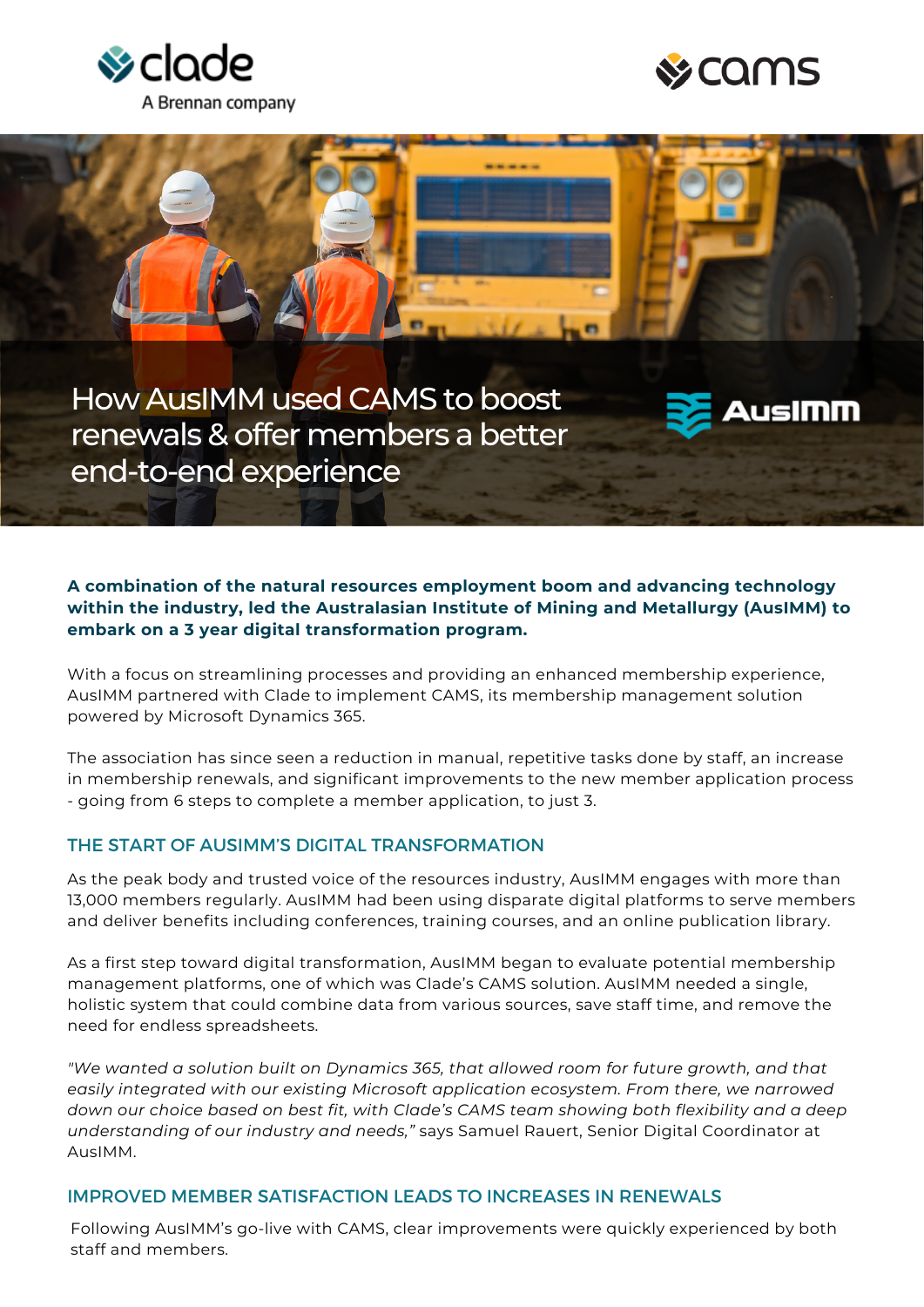





renewals & offer members a better end-to-end experience

### **A combination of the natural resources employment boom and advancing technology within the industry, led the Australasian Institute of Mining and Metallurgy (AusIMM) to embark on a 3 year digital transformation program.**

With a focus on streamlining processes and providing an enhanced membership experience, AusIMM partnered with Clade to implement CAMS, its membership management solution powered by Microsoft Dynamics 365.

The association has since seen a reduction in manual, repetitive tasks done by staff, an increase in membership renewals, and significant improvements to the new member application process - going from 6 steps to complete a member application, to just 3.

### THE START OF AUSIMM'S DIGITAL TRANSFORMATION

As the peak body and trusted voice of the resources industry, AusIMM engages with more than 13,000 members regularly. AusIMM had been using disparate digital platforms to serve members and deliver benefits including conferences, training courses, and an online publication library.

As a first step toward digital transformation, AusIMM began to evaluate potential membership management platforms, one of which was Clade's CAMS solution. AusIMM needed a single, holistic system that could combine data from various sources, save staff time, and remove the need for endless spreadsheets.

*"We wanted a solution built on Dynamics 365, that allowed room for future growth, and that easily integrated with our existing Microsoft application ecosystem. From there, we narrowed down our choice based on best fit, with Clade's CAMS team showing both flexibility and a deep understanding of our industry and needs,"* says Samuel Rauert, Senior Digital Coordinator at AusIMM.

### IMPROVED MEMBER SATISFACTION LEADS TO INCREASES IN RENEWALS

Following AusIMM's go-live with CAMS, clear improvements were quickly experienced by both staff and members.